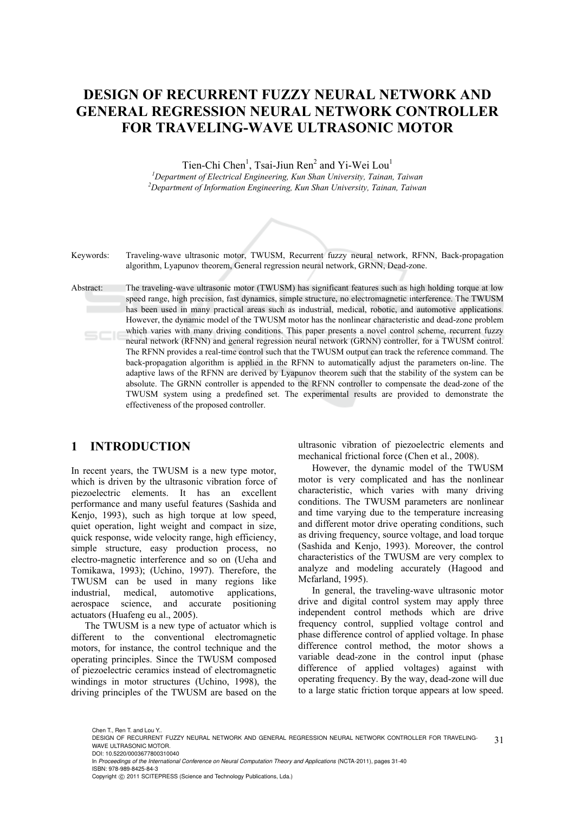## **DESIGN OF RECURRENT FUZZY NEURAL NETWORK AND GENERAL REGRESSION NEURAL NETWORK CONTROLLER FOR TRAVELING-WAVE ULTRASONIC MOTOR**

Tien-Chi Chen<sup>1</sup>, Tsai-Jiun Ren<sup>2</sup> and Yi-Wei Lou<sup>1</sup>

*1 Department of Electrical Engineering, Kun Shan University, Tainan, Taiwan 2 Department of Information Engineering, Kun Shan University, Tainan, Taiwan* 



Keywords: Traveling-wave ultrasonic motor, TWUSM, Recurrent fuzzy neural network, RFNN, Back-propagation algorithm, Lyapunov theorem, General regression neural network, GRNN, Dead-zone.

Abstract: The traveling-wave ultrasonic motor (TWUSM) has significant features such as high holding torque at low speed range, high precision, fast dynamics, simple structure, no electromagnetic interference. The TWUSM has been used in many practical areas such as industrial, medical, robotic, and automotive applications. However, the dynamic model of the TWUSM motor has the nonlinear characteristic and dead-zone problem which varies with many driving conditions. This paper presents a novel control scheme, recurrent fuzzy  $SCIE$ neural network (RFNN) and general regression neural network (GRNN) controller, for a TWUSM control. The RFNN provides a real-time control such that the TWUSM output can track the reference command. The back-propagation algorithm is applied in the RFNN to automatically adjust the parameters on-line. The adaptive laws of the RFNN are derived by Lyapunov theorem such that the stability of the system can be absolute. The GRNN controller is appended to the RFNN controller to compensate the dead-zone of the TWUSM system using a predefined set. The experimental results are provided to demonstrate the effectiveness of the proposed controller.

## **1 INTRODUCTION**

In recent years, the TWUSM is a new type motor, which is driven by the ultrasonic vibration force of piezoelectric elements. It has an excellent performance and many useful features (Sashida and Kenjo, 1993), such as high torque at low speed. quiet operation, light weight and compact in size, quick response, wide velocity range, high efficiency, simple structure, easy production process, no electro-magnetic interference and so on (Ueha and Tomikawa, 1993); (Uchino, 1997). Therefore, the TWUSM can be used in many regions like industrial, medical, automotive applications, aerospace science, and accurate positioning actuators (Huafeng eu al., 2005).

The TWUSM is a new type of actuator which is different to the conventional electromagnetic motors, for instance, the control technique and the operating principles. Since the TWUSM composed of piezoelectric ceramics instead of electromagnetic windings in motor structures (Uchino, 1998), the driving principles of the TWUSM are based on the ultrasonic vibration of piezoelectric elements and mechanical frictional force (Chen et al., 2008).

However, the dynamic model of the TWUSM motor is very complicated and has the nonlinear characteristic, which varies with many driving conditions. The TWUSM parameters are nonlinear and time varying due to the temperature increasing and different motor drive operating conditions, such as driving frequency, source voltage, and load torque (Sashida and Kenjo, 1993). Moreover, the control characteristics of the TWUSM are very complex to analyze and modeling accurately (Hagood and Mcfarland, 1995).

In general, the traveling-wave ultrasonic motor drive and digital control system may apply three independent control methods which are drive frequency control, supplied voltage control and phase difference control of applied voltage. In phase difference control method, the motor shows a variable dead-zone in the control input (phase difference of applied voltages) against with operating frequency. By the way, dead-zone will due to a large static friction torque appears at low speed.

In *Proceedings of the International Conference on Neural Computation Theory and Applications* (NCTA-2011), pages 31-40 ISBN: 978-989-8425-84-3

Chen T. Ren T. and Lou Y.

<sup>31</sup> DESIGN OF RECURRENT FUZZY NEURAL NETWORK AND GENERAL REGRESSION NEURAL NETWORK CONTROLLER FOR TRAVELING-WAVE ULTRASONIC MOTOR. DOI: 10.5220/0003677800310040

Copyright © 2011 SCITEPRESS (Science and Technology Publications, Lda.)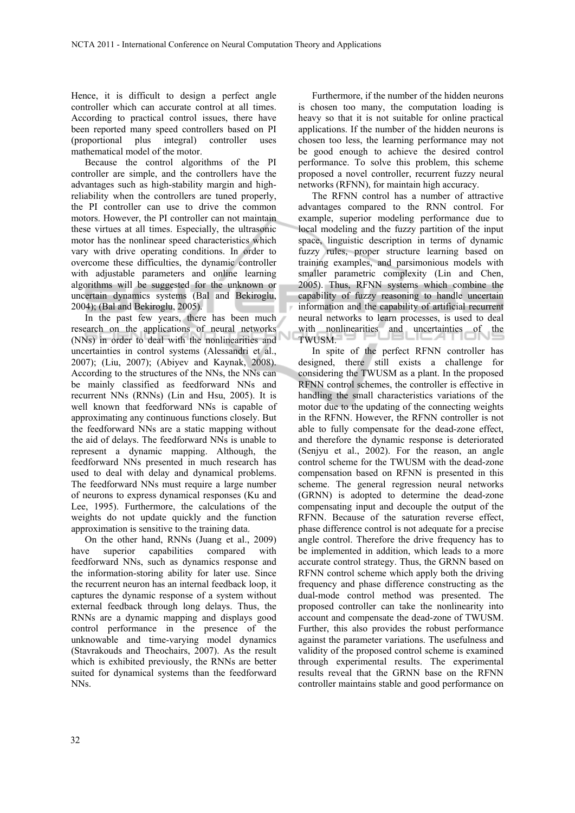Hence, it is difficult to design a perfect angle controller which can accurate control at all times. According to practical control issues, there have been reported many speed controllers based on PI (proportional plus integral) controller uses mathematical model of the motor.

Because the control algorithms of the PI controller are simple, and the controllers have the advantages such as high-stability margin and highreliability when the controllers are tuned properly, the PI controller can use to drive the common motors. However, the PI controller can not maintain these virtues at all times. Especially, the ultrasonic motor has the nonlinear speed characteristics which vary with drive operating conditions. In order to overcome these difficulties, the dynamic controller with adjustable parameters and online learning algorithms will be suggested for the unknown or uncertain dynamics systems (Bal and Bekiroglu, 2004); (Bal and Bekiroglu, 2005).

In the past few years, there has been much research on the applications of neural networks (NNs) in order to deal with the nonlinearities and uncertainties in control systems (Alessandri et al., 2007); (Liu, 2007); (Abiyev and Kaynak, 2008). According to the structures of the NNs, the NNs can be mainly classified as feedforward NNs and recurrent NNs (RNNs) (Lin and Hsu, 2005). It is well known that feedforward NNs is capable of approximating any continuous functions closely. But the feedforward NNs are a static mapping without the aid of delays. The feedforward NNs is unable to represent a dynamic mapping. Although, the feedforward NNs presented in much research has used to deal with delay and dynamical problems. The feedforward NNs must require a large number of neurons to express dynamical responses (Ku and Lee, 1995). Furthermore, the calculations of the weights do not update quickly and the function approximation is sensitive to the training data.

On the other hand, RNNs (Juang et al., 2009) have superior capabilities compared with feedforward NNs, such as dynamics response and the information-storing ability for later use. Since the recurrent neuron has an internal feedback loop, it captures the dynamic response of a system without external feedback through long delays. Thus, the RNNs are a dynamic mapping and displays good control performance in the presence of the unknowable and time-varying model dynamics (Stavrakouds and Theochairs, 2007). As the result which is exhibited previously, the RNNs are better suited for dynamical systems than the feedforward NNs.

Furthermore, if the number of the hidden neurons is chosen too many, the computation loading is heavy so that it is not suitable for online practical applications. If the number of the hidden neurons is chosen too less, the learning performance may not be good enough to achieve the desired control performance. To solve this problem, this scheme proposed a novel controller, recurrent fuzzy neural networks (RFNN), for maintain high accuracy.

The RFNN control has a number of attractive advantages compared to the RNN control. For example, superior modeling performance due to local modeling and the fuzzy partition of the input space, linguistic description in terms of dynamic fuzzy rules, proper structure learning based on training examples, and parsimonious models with smaller parametric complexity (Lin and Chen, 2005). Thus, RFNN systems which combine the capability of fuzzy reasoning to handle uncertain information and the capability of artificial recurrent neural networks to learn processes, is used to deal with nonlinearities and uncertainties of the TWUSM.

In spite of the perfect RFNN controller has designed, there still exists a challenge for considering the TWUSM as a plant. In the proposed RFNN control schemes, the controller is effective in handling the small characteristics variations of the motor due to the updating of the connecting weights in the RFNN. However, the RFNN controller is not able to fully compensate for the dead-zone effect, and therefore the dynamic response is deteriorated (Senjyu et al., 2002). For the reason, an angle control scheme for the TWUSM with the dead-zone compensation based on RFNN is presented in this scheme. The general regression neural networks (GRNN) is adopted to determine the dead-zone compensating input and decouple the output of the RFNN. Because of the saturation reverse effect, phase difference control is not adequate for a precise angle control. Therefore the drive frequency has to be implemented in addition, which leads to a more accurate control strategy. Thus, the GRNN based on RFNN control scheme which apply both the driving frequency and phase difference constructing as the dual-mode control method was presented. The proposed controller can take the nonlinearity into account and compensate the dead-zone of TWUSM. Further, this also provides the robust performance against the parameter variations. The usefulness and validity of the proposed control scheme is examined through experimental results. The experimental results reveal that the GRNN base on the RFNN controller maintains stable and good performance on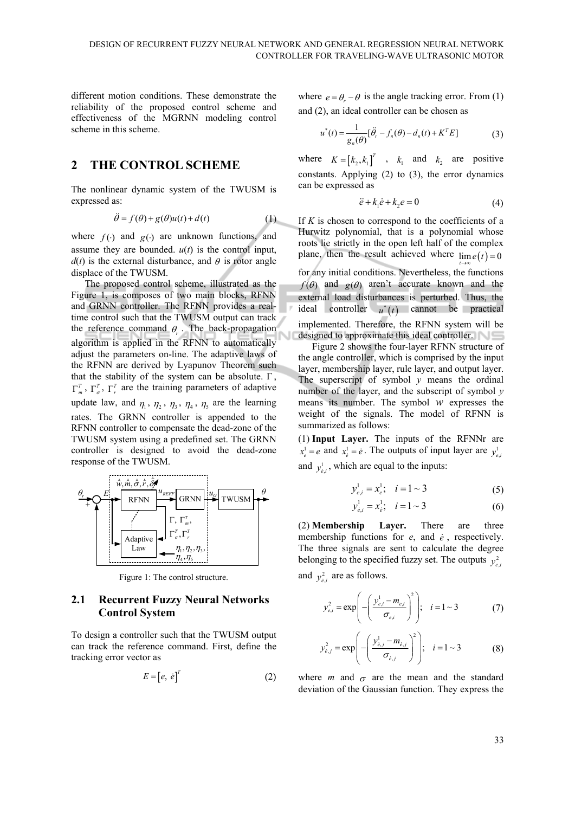different motion conditions. These demonstrate the reliability of the proposed control scheme and effectiveness of the MGRNN modeling control scheme in this scheme.

### **2 THE CONTROL SCHEME**

The nonlinear dynamic system of the TWUSM is expressed as:

$$
\ddot{\theta} = f(\theta) + g(\theta)u(t) + d(t)
$$
 (1)

where  $f(\cdot)$  and  $g(\cdot)$  are unknown functions, and assume they are bounded. *u*(*t*) is the control input,  $d(t)$  is the external disturbance, and  $\theta$  is rotor angle displace of the TWUSM.

The proposed control scheme, illustrated as the Figure 1, is composes of two main blocks, RFNN and GRNN controller. The RFNN provides a realtime control such that the TWUSM output can track the reference command  $\theta_r$ . The back-propagation algorithm is applied in the RFNN to automatically adjust the parameters on-line. The adaptive laws of the RFNN are derived by Lyapunov Theorem such that the stability of the system can be absolute.  $\Gamma$ ,  $\Gamma_m^T$ ,  $\Gamma_{\sigma}^T$ ,  $\Gamma_r^T$  are the training parameters of adaptive update law, and  $\eta_1$ ,  $\eta_2$ ,  $\eta_3$ ,  $\eta_4$ ,  $\eta_5$  are the learning rates. The GRNN controller is appended to the RFNN controller to compensate the dead-zone of the TWUSM system using a predefined set. The GRNN controller is designed to avoid the dead-zone response of the TWUSM.



Figure 1: The control structure.

#### **2.1 Recurrent Fuzzy Neural Networks Control System**

To design a controller such that the TWUSM output can track the reference command. First, define the tracking error vector as

$$
E = [e, \dot{e}]^T \tag{2}
$$

where  $e = \theta - \theta$  is the angle tracking error. From (1) and (2), an ideal controller can be chosen as

$$
u^*(t) = \frac{1}{g_n(\theta)} [\ddot{\theta}_r - f_n(\theta) - d_n(t) + K^T E]
$$
 (3)

where  $K = [k_2, k_1]^T$ ,  $k_1$  and  $k_2$  are positive constants. Applying (2) to (3), the error dynamics can be expressed as

$$
\ddot{e} + k_1 \dot{e} + k_2 e = 0 \tag{4}
$$

If  $K$  is chosen to correspond to the coefficients of a Hurwitz polynomial, that is a polynomial whose roots lie strictly in the open left half of the complex plane, then the result achieved where  $\lim_{t\to\infty} e(t) = 0$ for any initial conditions. Nevertheless, the functions  $f(\theta)$  and  $g(\theta)$  aren't accurate known and the external load disturbances is perturbed. Thus, the ideal controller  $u^*(t)$  cannot be practical implemented. Therefore, the RFNN system will be designed to approximate this ideal controller.

Figure 2 shows the four-layer RFNN structure of the angle controller, which is comprised by the input layer, membership layer, rule layer, and output layer. The superscript of symbol *y* means the ordinal number of the layer, and the subscript of symbol *y* means its number. The symbol *w* expresses the weight of the signals. The model of RFNN is summarized as follows:

(1) **Input Layer.** The inputs of the RFNNr are 1  $x_e^1 = e$  and  $x_e^1 = \dot{e}$ . The outputs of input layer are  $y_{e, e}^1$ and  $y_{\dot{e},i}^1$ , which are equal to the inputs:

$$
y_{e,i}^1 = x_e^1; \quad i = 1 \sim 3 \tag{5}
$$

$$
y_{\dot{e},i}^1 = x_{\dot{e}}^1; \quad i = 1 \sim 3 \tag{6}
$$

(2) **Membership Layer.** There are three membership functions for *e*, and *e* , respectively. The three signals are sent to calculate the degree belonging to the specified fuzzy set. The outputs  $y_{e_i}^2$ and  $y_{\hat{e},i}^2$  are as follows.

$$
y_{e,i}^2 = \exp\left(-\left(\frac{y_{e,i}^1 - m_{e,i}}{\sigma_{e,i}}\right)^2\right); \quad i = 1 \sim 3
$$
 (7)

$$
y_{e,j}^2 = \exp\left(-\left(\frac{y_{e,j}^1 - m_{e,j}}{\sigma_{e,j}}\right)^2\right); \quad i = 1 \sim 3
$$
 (8)

where *m* and  $\sigma$  are the mean and the standard deviation of the Gaussian function. They express the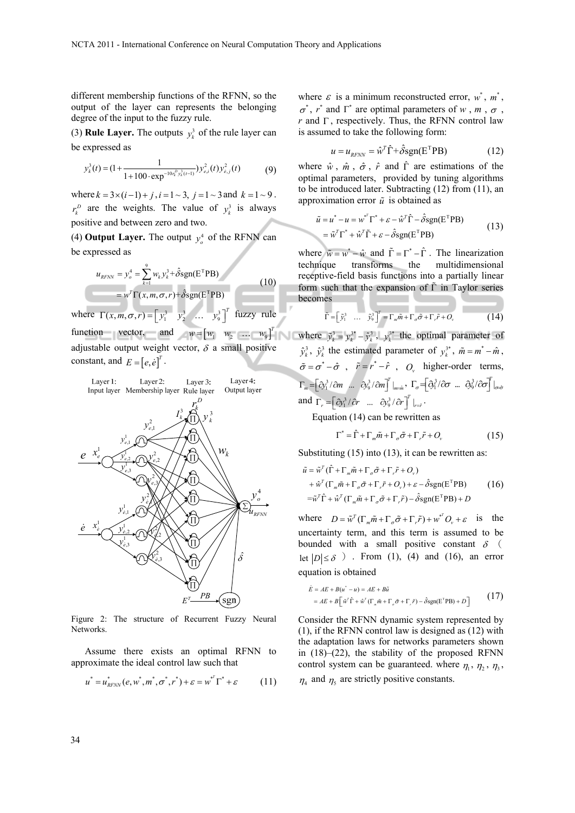different membership functions of the RFNN, so the output of the layer can represents the belonging degree of the input to the fuzzy rule.

(3) **Rule Layer.** The outputs  $y_k^3$  of the rule layer can be expressed as

$$
y_k^3(t) = (1 + \frac{1}{1 + 100 \cdot \exp^{-10r_k^D y_k^3(t-1)}}) y_{e,i}^2(t) y_{\dot{e},j}^2(t)
$$
(9)

where  $k = 3 \times (i-1) + j$ ,  $i = 1 \sim 3$ ,  $j = 1 \sim 3$  and  $k = 1 \sim 9$ .  $r_k^D$  are the weights. The value of  $y_k^3$  is always positive and between zero and two.

(4) **Output Layer.** The output  $y_o^4$  of the RFNN can be expressed as

$$
u_{RFNN} = y_o^4 = \sum_{k=1}^{9} w_k y_k^3 + \hat{\delta} \text{sgn}(\mathbf{E}^T \mathbf{P} \mathbf{B})
$$
  
= 
$$
w^T \Gamma(x, m, \sigma, r) + \hat{\delta} \text{sgn}(\mathbf{E}^T \mathbf{P} \mathbf{B})
$$
 (10)

where  $\Gamma(x, m, \sigma, r) = \begin{bmatrix} y_1^3 & y_2^3 & \dots & y_9^3 \end{bmatrix}^T$  fuzzy rule function vector, and  $w = \begin{bmatrix} w_1 & w_2 & \dots & w_9 \end{bmatrix}^T$ adjustable output weight vector,  $\delta$  a small positive constant, and  $E = [e, \dot{e}]^T$ .



Figure 2: The structure of Recurrent Fuzzy Neural Networks.

Assume there exists an optimal RFNN to approximate the ideal control law such that

$$
u^* = u^*_{RFNN}(e, w^*, m^*, \sigma^*, r^*) + \varepsilon = w^{*^T} \Gamma^* + \varepsilon \tag{11}
$$

where  $\varepsilon$  is a minimum reconstructed error,  $w^*$ ,  $m^*$ ,  $\sigma^*$ ,  $r^*$  and  $\Gamma^*$  are optimal parameters of  $w$ ,  $m$ ,  $\sigma$ ,  $r$  and  $\Gamma$ , respectively. Thus, the RFNN control law is assumed to take the following form:

$$
u = u_{RFNN} = \hat{w}^T \hat{\Gamma} + \hat{\delta} \text{sgn}(\mathbf{E}^T \mathbf{P} \mathbf{B}) \tag{12}
$$

where  $\hat{w}$ ,  $\hat{m}$ ,  $\hat{\sigma}$ ,  $\hat{r}$  and  $\hat{\Gamma}$  are estimations of the optimal parameters, provided by tuning algorithms to be introduced later. Subtracting (12) from (11), an approximation error  $\tilde{u}$  is obtained as

$$
\tilde{u} = u^* - u = w^{*T} \Gamma^* + \varepsilon - \hat{w}^T \hat{\Gamma} - \hat{\delta} \text{sgn}(\mathbf{E}^T \mathbf{P} \mathbf{B}) \n= \tilde{w}^T \Gamma^* + \hat{w}^T \tilde{\Gamma} + \varepsilon - \hat{\delta} \text{sgn}(\mathbf{E}^T \mathbf{P} \mathbf{B})
$$
\n(13)

where  $\tilde{w} = w^* - \hat{w}$  and  $\tilde{\Gamma} = \Gamma^* - \hat{\Gamma}$ . The linearization technique transforms the multidimensional receptive-field basis functions into a partially linear form such that the expansion of  $\tilde{\Gamma}$  in Taylor series becomes

$$
\tilde{\Gamma} = \begin{bmatrix} \tilde{y}_1^3 & \dots & \tilde{y}_9^3 \end{bmatrix}^T = \Gamma_m \tilde{m} + \Gamma_\sigma \tilde{\sigma} + \Gamma_r \tilde{r} + O_\nu \tag{14}
$$

where  $\tilde{y}_k^3 = y_k^{3*} - \hat{y}_k^3$ ,  $y_k^{3*}$  the optimal parameter of  $\hat{y}_k^3$ ,  $\hat{y}_k^3$  the estimated parameter of  $y_k^{3*}$ ,  $\tilde{m} = m^* - \hat{m}$ ,  $\tilde{\sigma} = \sigma^* - \hat{\sigma}$ ,  $\tilde{r} = r^* - \hat{r}$ , *O* higher-order terms,  $\Gamma_m = \left[ \partial y_1^3 / \partial m \dots \partial y_9^3 / \partial m \right]^T \Big|_{m = \hat{m}}, \ \Gamma_{\sigma} = \left[ \partial y_1^3 / \partial \sigma \dots \partial y_9^3 / \partial \sigma \right]^T \Big|_{\sigma = \hat{\sigma}}$ and  $\Gamma_r = \left[ \partial y_1^3 / \partial r \quad \dots \quad \partial y_9^3 / \partial r \right]^T \big|_{r=r}$ .

Equation (14) can be rewritten as

$$
\Gamma^* = \hat{\Gamma} + \Gamma_m \tilde{m} + \Gamma_\sigma \tilde{\sigma} + \Gamma_r \tilde{r} + O_\nu \tag{15}
$$

Substituting (15) into (13), it can be rewritten as:

$$
\tilde{u} = \tilde{w}^T (\hat{\Gamma} + \Gamma_m \tilde{m} + \Gamma_\sigma \tilde{\sigma} + \Gamma_r \tilde{r} + O_v) \n+ \hat{w}^T (\Gamma_m \tilde{m} + \Gamma_\sigma \tilde{\sigma} + \Gamma_r \tilde{r} + O_v) + \varepsilon - \hat{\delta} \text{sgn}(\mathbf{E}^T \mathbf{P} \mathbf{B}) \n= \tilde{w}^T \hat{\Gamma} + \hat{w}^T (\Gamma_m \tilde{m} + \Gamma_\sigma \tilde{\sigma} + \Gamma_r \tilde{r}) - \hat{\delta} \text{sgn}(\mathbf{E}^T \mathbf{P} \mathbf{B}) + D
$$
\n(16)

where  $D = \tilde{w}^T(\Gamma_m \tilde{m} + \Gamma_{\sigma} \tilde{\sigma} + \Gamma_{r} \tilde{r}) + w^{*T} O_v + \varepsilon$  is the uncertainty term, and this term is assumed to be bounded with a small positive constant  $\delta$  ( let  $|D| \le \delta$ ). From (1), (4) and (16), an error equation is obtained

$$
\dot{E} = AE + B(u^* - u) = AE + B\tilde{u}
$$
  
= AE + B[\tilde{w}^T \hat{\Gamma} + \tilde{w}^T (\Gamma\_m \tilde{m} + \Gamma\_\sigma \tilde{\sigma} + \Gamma\_r \tilde{r}) - \hat{\delta}sgn(E^TPB) + D ] (17)

Consider the RFNN dynamic system represented by (1), if the RFNN control law is designed as (12) with the adaptation laws for networks parameters shown in (18)–(22), the stability of the proposed RFNN control system can be guaranteed. where  $\eta_1$ ,  $\eta_2$ ,  $\eta_3$ ,  $\eta$ <sub>4</sub> and  $\eta$ <sub>5</sub> are strictly positive constants.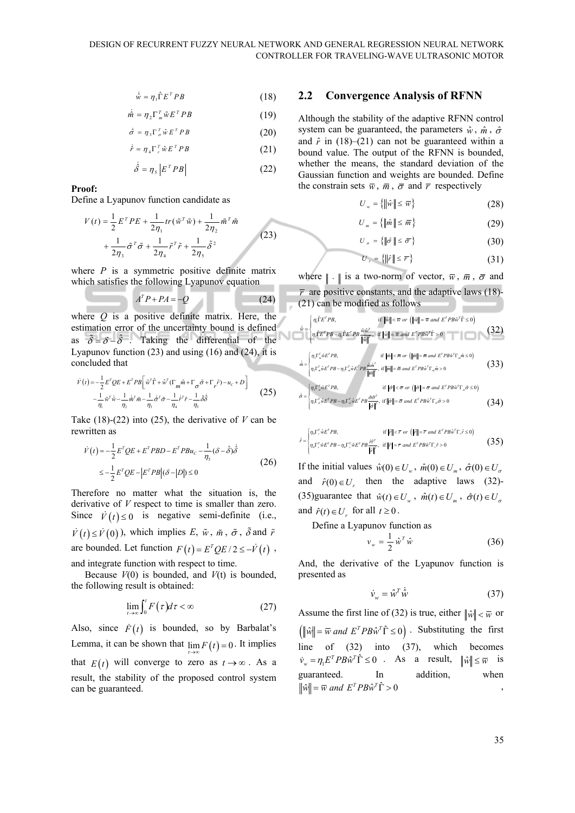$$
\dot{\hat{w}} = \eta_1 \hat{\Gamma} E^T P B \tag{18}
$$

$$
\dot{\hat{m}} = \eta_2 \Gamma_m^T \hat{w} E^T P B \tag{19}
$$

$$
\dot{\hat{\sigma}} = \eta_3 \Gamma_\sigma^T \hat{w} E^T P B \tag{20}
$$

$$
\dot{\hat{r}} = \eta_4 \Gamma_r^T \hat{w} E^T P B \tag{21}
$$

$$
\dot{\hat{\delta}} = \eta_s \left| E^T P B \right| \tag{22}
$$

#### **Proof:**

Define a Lyapunov function candidate as

$$
V(t) = \frac{1}{2} E^{T} PE + \frac{1}{2\eta_{1}} tr(\tilde{w}^{T} \tilde{w}) + \frac{1}{2\eta_{2}} \tilde{m}^{T} \tilde{m}
$$
  
+ 
$$
\frac{1}{2\eta_{3}} \tilde{\sigma}^{T} \tilde{\sigma} + \frac{1}{2\eta_{4}} \tilde{r}^{T} \tilde{r} + \frac{1}{2\eta_{5}} \tilde{\delta}^{2}
$$
 (23)

where  $P$  is a symmetric positive definite matrix which satisfies the following Lyapunov equation

$$
A^T P + P A = -Q \tag{24}
$$

where *Q* is a positive definite matrix. Here, the estimation error of the uncertainty bound is defined as  $\tilde{\delta} = \delta - \hat{\delta}$ . Taking the differential of the Lyapunov function (23) and using (16) and (24), it is concluded that

$$
\dot{V}(t) = -\frac{1}{2} E^T Q E + E^T P B \left[ \tilde{w}^T \hat{\Gamma} + \hat{w}^T (\Gamma_m \tilde{m} + \Gamma_\sigma \tilde{\sigma} + \Gamma_r \tilde{r}) - u_c + D \right] \n- \frac{1}{\eta_1} \tilde{w}^T \dot{\tilde{w}} - \frac{1}{\eta_2} \dot{\tilde{m}}^T \tilde{m} - \frac{1}{\eta_3} \dot{\tilde{\sigma}}^T \tilde{\sigma} - \frac{1}{\eta_4} \dot{\tilde{r}}^T \tilde{r} - \frac{1}{\eta_5} \tilde{\delta} \dot{\tilde{\delta}} \tag{25}
$$

Take (18)-(22) into (25), the derivative of *V* can be rewritten as

$$
\dot{V}(t) = -\frac{1}{2}E^{T}QE + E^{T}PBD - E^{T}PBu_{C} - \frac{1}{\eta_{s}}(\delta - \hat{\delta})\dot{\hat{\delta}}
$$
  

$$
\leq -\frac{1}{2}E^{T}QE - |E^{T}PB|(\delta - |D|) \leq 0
$$
\n(26)

Therefore no matter what the situation is, the derivative of *V* respect to time is smaller than zero. Since  $\dot{V}(t) \le 0$  is negative semi-definite (i.e.,  $\dot{V}(t) \le \dot{V}(0)$ , which implies *E*,  $\tilde{w}$ ,  $\tilde{m}$ ,  $\tilde{\sigma}$ ,  $\tilde{\delta}$  and  $\tilde{r}$ are bounded. Let function  $F(t) = E^{T}OE/2 \leq -V(t)$ , and integrate function with respect to time.

Because  $V(0)$  is bounded, and  $V(t)$  is bounded, the following result is obtained:

$$
\lim_{t \to \infty} \int_0^t F(\tau) d\tau < \infty \tag{27}
$$

Also, since  $\dot{F}(t)$  is bounded, so by Barbalat's Lemma, it can be shown that  $\lim_{t \to \infty} F(t) = 0$ . It implies that  $E(t)$  will converge to zero as  $t \rightarrow \infty$ . As a result, the stability of the proposed control system can be guaranteed.

#### **2.2 Convergence Analysis of RFNN**

Although the stability of the adaptive RFNN control system can be guaranteed, the parameters  $\hat{w}$ ,  $\hat{m}$ ,  $\hat{\sigma}$ and  $\hat{r}$  in (18)–(21) can not be guaranteed within a bound value. The output of the RFNN is bounded, whether the means, the standard deviation of the Gaussian function and weights are bounded. Define the constrain sets  $\overline{w}$ ,  $\overline{m}$ ,  $\overline{\sigma}$  and  $\overline{r}$  respectively

$$
U_w = \left\{ \left\| \hat{w} \right\| \le \overline{w} \right\} \tag{28}
$$

$$
U_m = \left\{ \|\hat{m}\| \le \overline{m} \right\} \tag{29}
$$

$$
U_{\sigma} = \{ \|\hat{\sigma}\| \le \bar{\sigma} \}
$$
 (30)

$$
U_r = \left\{ \|\hat{r}\| \le \overline{r} \right\} \tag{31}
$$

where  $\| \cdot \|$  is a two-norm of vector,  $\overline{w}$ ,  $\overline{m}$ ,  $\overline{\sigma}$  and  $\bar{r}$  are positive constants, and the adaptive laws (18)-(21) can be modified as follows

$$
\hat{\mathbf{w}} = \begin{cases} \eta_{\mathbf{i}} \hat{\mathbf{r}} \mathbf{r}^T P B, & \text{if } \|\hat{\mathbf{w}}\| < \overline{\mathbf{w}} \text{ or } (\|\hat{\mathbf{w}}\| = \overline{\mathbf{w}} \text{ and } \mathbf{E}^T P B \hat{\mathbf{w}}^T \hat{\mathbf{r}} \le 0) \\ \eta_{\mathbf{i}} \hat{\mathbf{r}} \mathbf{r}^T P B - \eta_{\mathbf{i}} \hat{\mathbf{r}} \mathbf{r}^T P B \frac{\hat{\mathbf{w}} \hat{\mathbf{w}}^T}{\|\hat{\mathbf{w}}\|^2}, & \text{if } \|\hat{\mathbf{w}}\| = \overline{\mathbf{w}} \text{ and } \mathbf{E}^T P B \hat{\mathbf{w}}^T \hat{\mathbf{r}} > 0 \end{cases}
$$
(32)

$$
\dot{\hat{m}} = \begin{cases} \eta_{\perp} \Gamma_{n}^{\top} \hat{w} E^{\top} P B, & \text{if } \|\hat{m}\| < \bar{m} \text{ or } (\|\hat{m}\| = \bar{m} \text{ and } E^{\top} P B \hat{w}^{\top} \Gamma_{n} \hat{m} \le 0) \\ \eta_{\perp} \Gamma_{n}^{\top} \hat{w} E^{\top} P B - \eta_{\perp} \Gamma_{n}^{\top} \hat{w} E^{\top} P B \frac{\hat{m} \hat{m}^{\top}}{|\hat{m}|^{2}}, & \text{if } \|\hat{m}\| = \bar{m} \text{ and } E^{\top} P B \hat{w}^{\top} \Gamma_{n} \hat{m} > 0 \end{cases}
$$
(33)

$$
\dot{\hat{\sigma}} = \begin{cases} \eta_{\rm s} \Gamma^{\tau}_{\rm s} \hat{w} \tilde{w}^{\tau} P B, & \text{if } \|\hat{\sigma}\| < \overline{\sigma} \text{ or } (\|\hat{\sigma}\| = \overline{\sigma} \text{ and } E^{\tau} P B \hat{w}^{\tau} \Gamma_{\sigma} \hat{\sigma} \le 0) \\ \eta_{\rm s} \Gamma^{\tau}_{\sigma} \hat{w} E^{\tau} P B - \eta_{\rm s} \Gamma^{\tau}_{\sigma} \hat{w} E^{\tau} P B \frac{\hat{\sigma} \hat{\sigma}^{\tau}}{\|\hat{\sigma}\|}, & \text{if } \|\hat{\sigma}\| = \overline{\sigma} \text{ and } E^{\tau} P B \hat{w}^{\tau} \Gamma_{\sigma} \hat{\sigma} > 0 \end{cases} \tag{34}
$$

$$
\dot{\hat{r}} = \begin{cases} \eta_4 \Gamma^T_i \hat{w} E^T P B, & \text{if } ||\hat{r}|| < \overline{r} \text{ or } (||\hat{r}|| = \overline{r} \text{ and } E^T P B \hat{w}^T \Gamma_i \hat{r} \le 0) \\ \eta_4 \Gamma^T_i \hat{w} E^T P B - \eta_4 \Gamma^T_i \hat{w} E^T P B \frac{\hat{r} \hat{r}^T}{||\hat{r}||^2}, & \text{if } ||\hat{r}|| = \overline{r} \text{ and } E^T P B \hat{w}^T \Gamma_i \hat{r} > 0 \end{cases}
$$
(35)

If the initial values  $\hat{w}(0) \in U_w$ ,  $\hat{m}(0) \in U_m$ ,  $\hat{\sigma}(0) \in U_{\sigma}$ and  $\hat{r}(0) \in U_r$  then the adaptive laws (32)-(35)guarantee that  $\hat{w}(t) \in U_w$ ,  $\hat{m}(t) \in U_m$ ,  $\hat{\sigma}(t) \in U_{\sigma}$ and  $\hat{r}(t) \in U_r$  for all  $t \ge 0$ .

Define a Lyapunov function as

$$
v_w = \frac{1}{2} \hat{w}^T \hat{w}
$$
 (36)

And, the derivative of the Lyapunov function is presented as

$$
\dot{\mathbf{v}}_{w} = \hat{\mathbf{w}}^{T} \dot{\hat{\mathbf{w}}}
$$
 (37)

Assume the first line of (32) is true, either  $\|\hat{w}\| < \overline{w}$  or  $(\|\hat{w}\| = \overline{w}$  *and*  $E^T P B \hat{w}^T \hat{\Gamma} \le 0)$ . Substituting the first line of (32) into (37), which becomes  $\dot{v}_w = \eta_1 E^T P B \hat{w}^T \hat{\Gamma} \le 0$  . As a result,  $\|\hat{w}\| \le \overline{w}$  is guaranteed. In addition, when  $\|\hat{w}\| = \overline{w}$  and  $E^T P B \hat{w}^T \hat{\Gamma} > 0$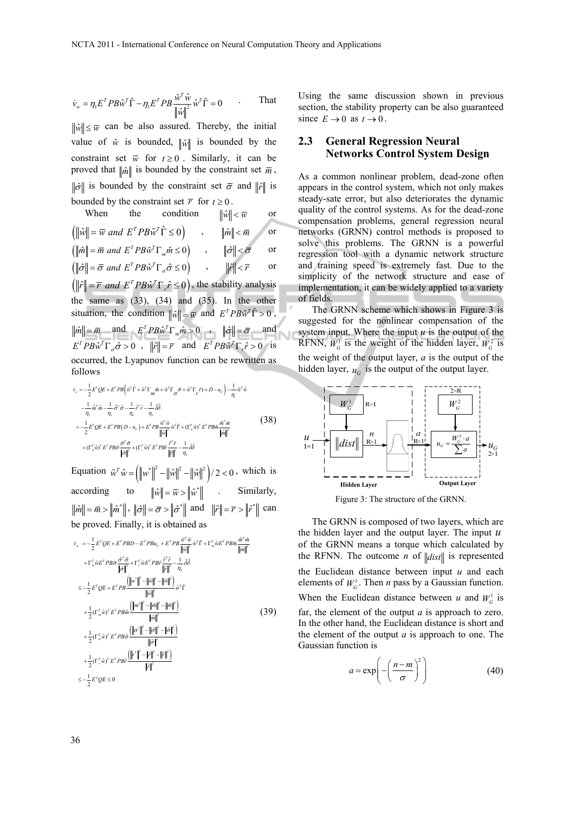$$
\dot{\mathbf{v}}_{w} = \eta_{1} E^{T} P B \hat{\mathbf{w}}^{T} \hat{\Gamma} - \eta_{1} E^{T} P B \frac{\hat{\mathbf{w}}^{T} \hat{\mathbf{w}}}{\left\| \hat{\mathbf{w}} \right\|^{2}} \hat{\mathbf{w}}^{T} \hat{\Gamma} = 0 \quad . \quad \text{That}
$$

 $\|\hat{w}\| \leq \overline{w}$  can be also assured. Thereby, the initial value of  $\hat{w}$  is bounded,  $\|\hat{w}\|$  is bounded by the constraint set  $\overline{w}$  for  $t \ge 0$ . Similarly, it can be proved that  $\|\hat{m}\|$  is bounded by the constraint set  $\bar{m}$ ,  $\|\hat{\sigma}\|$  is bounded by the constraint set  $\bar{\sigma}$  and  $\|\hat{r}\|$  is bounded by the constraint set  $\overline{r}$  for  $t \ge 0$ .

When the condition 
$$
\|\hat{w}\| < \overline{w}
$$
 or  
\n $(\|\hat{w}\| = \overline{w}$  and  $E^T P B \hat{w}^T \hat{\Gamma} \le 0)$ ,  $\|\hat{m}\| < \overline{m}$  or  
\n $(\|\hat{m}\| = \overline{m}$  and  $E^T P B \hat{w}^T \Gamma_m \hat{m} \le 0)$ ,  $\|\hat{\sigma}\| < \overline{\sigma}$  or  
\n $(\|\hat{\sigma}\| = \overline{\sigma}$  and  $E^T P B \hat{w}^T \Gamma_{\sigma} \hat{\sigma} \le 0)$ ,  $\|\hat{r}\| < \overline{r}$  or  
\n $(\|\hat{r}\| = \overline{r}$  and  $E^T P B \hat{w}^T \Gamma_r \hat{r} \le 0)$ , the stability analysis  
\nthe same as (33), (34) and (35). In the other  
\nsituation, the condition  $\|\hat{w}\| = \overline{w}$  and  $E^T P B \hat{w}^T \hat{\Gamma} > 0$ ,  
\n $\|\hat{m}\| = \overline{m}$  and  $E^T P B \hat{w}^T \Gamma_m \hat{m} > 0$ ,  $\|\hat{\sigma}\| = \overline{\sigma}$  and  
\n $E^T P B \hat{w}^T \Gamma_{\sigma} \hat{\sigma} > 0$ ,  $\|\hat{r}\| = \overline{r}$  and  $E^T P B \hat{w}^T \Gamma_r \hat{r} > 0$  is  
\noccurred, the Lyapunov function can be rewritten as  
\nfollows

$$
\begin{split}\n\dot{\mathbf{v}}_{w} &= -\frac{1}{2} E^{T} Q E + E^{T} P B \left( \tilde{\mathbf{w}}^{T} \hat{\mathbf{\Gamma}} + \hat{\mathbf{w}}^{T} \Gamma_{m} \tilde{m} + \hat{\mathbf{w}}^{T} \Gamma_{\sigma} \tilde{\sigma} + \hat{\mathbf{w}}^{T} \Gamma_{r} \tilde{r} \right) + D - u_{c} \right) - \frac{1}{\eta_{i}} \tilde{\mathbf{w}}^{T} \dot{\hat{\mathbf{w}}} \\
&- \frac{1}{\eta_{2}} \dot{\tilde{m}}^{T} \tilde{m} - \frac{1}{\eta_{3}} \dot{\tilde{\sigma}}^{T} \tilde{\sigma} - \frac{1}{\eta_{i}} \dot{\tilde{r}}^{T} \tilde{r} - \frac{1}{\eta_{5}} \dot{\tilde{\mathbf{w}}} \\
&= -\frac{1}{2} E^{T} Q E + E^{T} P B (D - u_{c}) + E^{T} P B \frac{\tilde{\mathbf{w}}^{T} \hat{\mathbf{w}}}{\|\hat{\mathbf{w}}\|^{2}} \tilde{\mathbf{w}}^{T} \hat{\mathbf{\Gamma}} + (\Gamma_{m}^{T} \hat{\mathbf{w}})^{T} E^{T} P B \hat{m} \frac{\tilde{\mathbf{m}}^{T} \tilde{m}}{\|\hat{m}\|^{2}} \\
&+ (\Gamma_{m}^{T} \hat{\mathbf{w}})^{T} E^{T} P B \hat{\sigma} \frac{\tilde{\sigma}^{T} \tilde{\sigma}}{\|\hat{\sigma}\|^{2}} + (\Gamma_{r}^{T} \hat{\mathbf{w}})^{T} E^{T} P B \hat{r} \frac{\tilde{r}^{T} \tilde{r}}{\|\hat{r}\|^{2}} - \frac{1}{\eta_{5}} \tilde{\delta} \tilde{\delta} \\
& \end{split}
$$
\n
$$
(38)
$$

Equation  $\tilde{w}^T \hat{w} = \left( \left\| w^* \right\|^2 - \left\| \hat{w} \right\|^2 \right) / 2 < 0$ , which is according to  $\|\hat{w}\| = \overline{w} > \|\hat{w}^*\|$  . Similarly,  $\|\hat{m}\| = \overline{m} > \|\hat{m}^*\|$ ,  $\|\hat{\sigma}\| = \overline{\sigma} > \|\hat{\sigma}^*\|$  and  $\|\hat{r}\| = \overline{r} > \|\hat{r}^*\|$  can be proved. Finally, it is obtained as

$$
\begin{split}\n\dot{v}_{w} &= -\frac{1}{2}E^{T}QE + E^{T}PBD - E^{T}PBu_{c} + E^{T}PB \frac{\tilde{w}^{T}\hat{w}}{\|\hat{w}\|^{2}}\tilde{w}^{T}\hat{\Gamma} + \Gamma_{m}^{T}\hat{w}E^{T}PB\hat{m} \frac{\hat{m}^{T}\tilde{m}}{\|\hat{m}\|^{2}} \\
&+ \Gamma_{\sigma}^{T}\hat{w}E^{T}PB\hat{\sigma} \frac{\hat{\sigma}^{T}\tilde{\sigma}}{\|\hat{\sigma}\|^{2}} + \Gamma_{r}^{T}\hat{w}E^{T}PB\hat{r} \frac{\hat{\Gamma}^{T}\tilde{r}}{\|\hat{r}\|^{2}} - \frac{1}{\eta_{S}}\tilde{\delta}\tilde{\delta} \\
&\le -\frac{1}{2}E^{T}QE + E^{T}PB \frac{\left(\|w^{*}\|^{2} - \|\hat{w}\|^{2} - \|\hat{w}\|^{2}\right)}{\|\hat{w}\|^{2}}\hat{w}^{T}\hat{\Gamma} \\
&+ \frac{1}{2}(\Gamma_{m}^{T}\hat{w})^{T}E^{T}PB\hat{m} \frac{\left(\|m^{*}\|^{2} - \|\hat{m}\|^{2} - \|\hat{m}\|^{2}\right)}{\|\hat{m}\|^{2}} \\
&+ \frac{1}{2}(\Gamma_{\sigma}^{T}\hat{w})^{T}E^{T}PB\hat{\sigma} \frac{\left(\|{\sigma^{*}}\|^{2} - \|\hat{\sigma}\|^{2} - \|\hat{\sigma}\|^{2}\right)}{\|\hat{\sigma}\|^{2}} \\
&+ \frac{1}{2}(\Gamma_{r}^{T}\hat{w})^{T}E^{T}PB\hat{r} \frac{\left(\|{\sigma^{*}}\|^{2} - \|\hat{\sigma}\|^{2} - \|\hat{\sigma}\|^{2}\right)}{\|\hat{\sigma}\|^{2}} \\
&\le -\frac{1}{2}E^{T}QE \le 0\n\end{split} \tag{39}
$$

Using the same discussion shown in previous section, the stability property can be also guaranteed since  $E \to 0$  as  $t \to 0$ .

#### **2.3 General Regression Neural Networks Control System Design**

As a common nonlinear problem, dead-zone often appears in the control system, which not only makes steady-sate error, but also deteriorates the dynamic quality of the control systems. As for the dead-zone compensation problems, general regression neural networks (GRNN) control methods is proposed to solve this problems. The GRNN is a powerful regression tool with a dynamic network structure and training speed is extremely fast. Due to the simplicity of the network structure and ease of implementation, it can be widely applied to a variety of fields.

The GRNN scheme which shows in Figure 3 is suggested for the nonlinear compensation of the system input. Where the input  $u$  is the output of the RFNN,  $W_G^1$  is the weight of the hidden layer,  $W_G^2$  is the weight of the output layer, *a* is the output of the hidden layer,  $u_c$  is the output of the output layer.

Ù.



Figure 3: The structure of the GRNN.

The GRNN is composed of two layers, which are the hidden layer and the output layer. The input *u* of the GRNN means a torque which calculated by the RFNN. The outcome *n* of  $\Vert dist \Vert$  is represented the Euclidean distance between input *u* and each elements of  $W_G^1$ . Then *n* pass by a Gaussian function. When the Euclidean distance between *u* and  $W<sub>G</sub><sup>1</sup>$  is far, the element of the output *a* is approach to zero. In the other hand, the Euclidean distance is short and the element of the output *a* is approach to one. The Gaussian function is

$$
a = \exp\left(-\left(\frac{n-m}{\sigma}\right)^2\right) \tag{40}
$$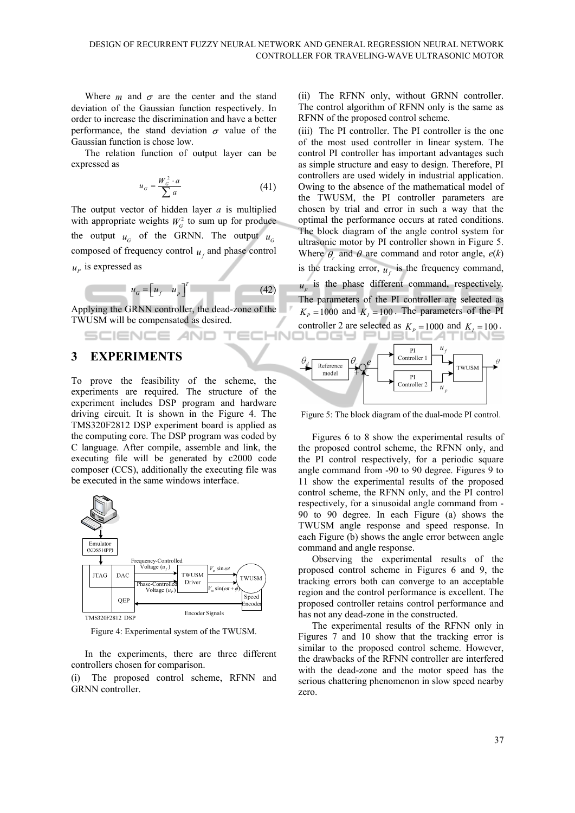-IN

Where  $m$  and  $\sigma$  are the center and the stand deviation of the Gaussian function respectively. In order to increase the discrimination and have a better performance, the stand deviation  $\sigma$  value of the Gaussian function is chose low.

The relation function of output layer can be expressed as

$$
u_G = \frac{W_G^2 \cdot a}{\sum a} \tag{41}
$$

The output vector of hidden layer *a* is multiplied with appropriate weights  $W_G^2$  to sum up for produce the output  $u_G$  of the GRNN. The output  $u_G$ composed of frequency control  $\mathbf{u}_t$  and phase control  $u_p$  is expressed as

$$
u_G = \begin{bmatrix} u_f & u_p \end{bmatrix}^T \tag{42}
$$

Applying the GRNN controller, the dead-zone of the TWUSM will be compensated as desired.

## **3 EXPERIMENTS**

SCIENCE *A*ND

To prove the feasibility of the scheme, the experiments are required. The structure of the experiment includes DSP program and hardware driving circuit. It is shown in the Figure 4. The TMS320F2812 DSP experiment board is applied as the computing core. The DSP program was coded by C language. After compile, assemble and link, the executing file will be generated by c2000 code composer (CCS), additionally the executing file was be executed in the same windows interface.



Figure 4: Experimental system of the TWUSM.

In the experiments, there are three different controllers chosen for comparison.

(i) The proposed control scheme, RFNN and GRNN controller.

(ii) The RFNN only, without GRNN controller. The control algorithm of RFNN only is the same as RFNN of the proposed control scheme.

(iii) The PI controller. The PI controller is the one of the most used controller in linear system. The control PI controller has important advantages such as simple structure and easy to design. Therefore, PI controllers are used widely in industrial application. Owing to the absence of the mathematical model of the TWUSM, the PI controller parameters are chosen by trial and error in such a way that the optimal the performance occurs at rated conditions. The block diagram of the angle control system for ultrasonic motor by PI controller shown in Figure 5. Where  $\theta$  and  $\theta$  are command and rotor angle,  $e(k)$ 

is the tracking error,  $u_f$  is the frequency command,

 $u_n$  is the phase different command, respectively. The parameters of the PI controller are selected as  $K_p = 1000$  and  $K_l = 100$ . The parameters of the PI



Figure 5: The block diagram of the dual-mode PI control.

Figures 6 to 8 show the experimental results of the proposed control scheme, the RFNN only, and the PI control respectively, for a periodic square angle command from -90 to 90 degree. Figures 9 to 11 show the experimental results of the proposed control scheme, the RFNN only, and the PI control respectively, for a sinusoidal angle command from - 90 to 90 degree. In each Figure (a) shows the TWUSM angle response and speed response. In each Figure (b) shows the angle error between angle command and angle response.

Observing the experimental results of the proposed control scheme in Figures 6 and 9, the tracking errors both can converge to an acceptable region and the control performance is excellent. The proposed controller retains control performance and has not any dead-zone in the constructed.

The experimental results of the RFNN only in Figures 7 and 10 show that the tracking error is similar to the proposed control scheme. However, the drawbacks of the RFNN controller are interfered with the dead-zone and the motor speed has the serious chattering phenomenon in slow speed nearby zero.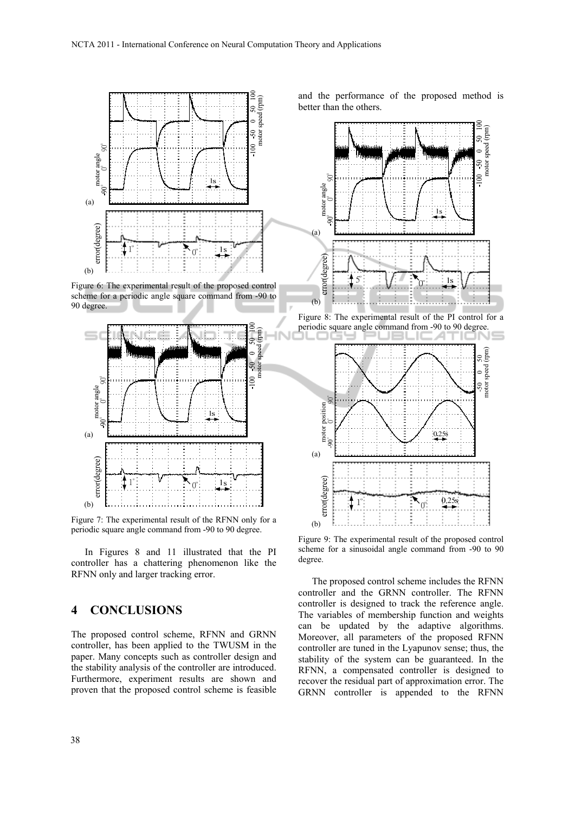

Figure 6: The experimental result of the proposed control scheme for a periodic angle square command from -90 to 90 degree.



Figure 7: The experimental result of the RFNN only for a periodic square angle command from -90 to 90 degree.

In Figures 8 and 11 illustrated that the PI controller has a chattering phenomenon like the RFNN only and larger tracking error.

## **4 CONCLUSIONS**

The proposed control scheme, RFNN and GRNN controller, has been applied to the TWUSM in the paper. Many concepts such as controller design and the stability analysis of the controller are introduced. Furthermore, experiment results are shown and proven that the proposed control scheme is feasible and the performance of the proposed method is better than the others.





Figure 9: The experimental result of the proposed control scheme for a sinusoidal angle command from -90 to 90 degree.

The proposed control scheme includes the RFNN controller and the GRNN controller. The RFNN controller is designed to track the reference angle. The variables of membership function and weights can be updated by the adaptive algorithms. Moreover, all parameters of the proposed RFNN controller are tuned in the Lyapunov sense; thus, the stability of the system can be guaranteed. In the RFNN, a compensated controller is designed to recover the residual part of approximation error. The GRNN controller is appended to the RFNN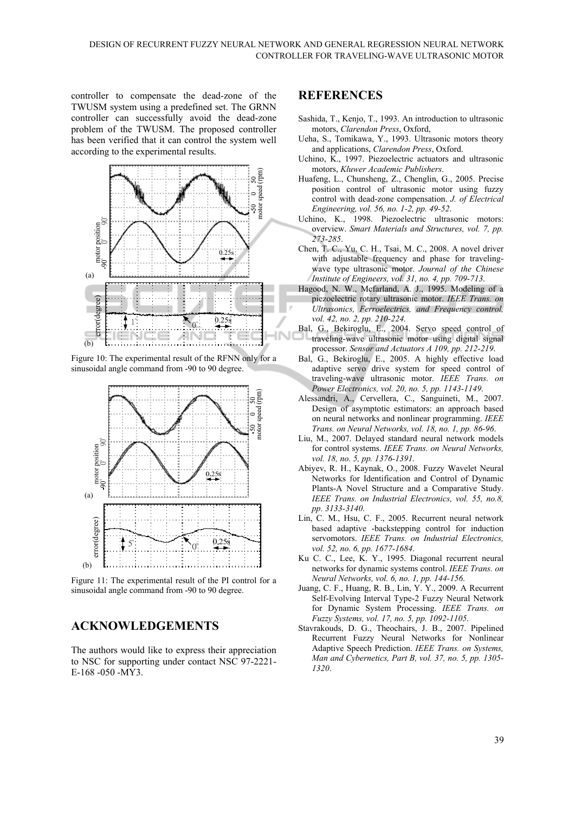controller to compensate the dead-zone of the TWUSM system using a predefined set. The GRNN controller can successfully avoid the dead-zone problem of the TWUSM. The proposed controller has been verified that it can control the system well according to the experimental results.



Figure 10: The experimental result of the RFNN only for a sinusoidal angle command from -90 to 90 degree.



Figure 11: The experimental result of the PI control for a sinusoidal angle command from -90 to 90 degree.

## **ACKNOWLEDGEMENTS**

The authors would like to express their appreciation to NSC for supporting under contact NSC 97-2221- E-168 -050 -MY3.

#### **REFERENCES**

- Sashida, T., Kenjo, T., 1993. An introduction to ultrasonic motors, *Clarendon Press*, Oxford,
- Ueha, S., Tomikawa, Y., 1993. Ultrasonic motors theory and applications, *Clarendon Press*, Oxford.
- Uchino, K., 1997. Piezoelectric actuators and ultrasonic motors, *Kluwer Academic Publishers*.
- Huafeng, L., Chunsheng, Z., Chenglin, G., 2005. Precise position control of ultrasonic motor using fuzzy control with dead-zone compensation. *J. of Electrical Engineering, vol. 56, no. 1-2, pp. 49-52*.
- Uchino, K., 1998. Piezoelectric ultrasonic motors: overview. *Smart Materials and Structures, vol. 7, pp. 273-285*.
- Chen, T. C., Yu, C. H., Tsai, M. C., 2008. A novel driver with adjustable frequency and phase for travelingwave type ultrasonic motor. *Journal of the Chinese Institute of Engineers, vol. 31, no. 4, pp. 709-713*.
- Hagood, N. W., Mcfarland, A. J., 1995. Modeling of a piezoelectric rotary ultrasonic motor. *IEEE Trans. on Ultrasonics, Ferroelectrics, and Frequency control, vol. 42, no. 2, pp. 210-224.*
- Bal, G., Bekiroglu, E., 2004. Servo speed control of traveling-wave ultrasonic motor using digital signal processor. *Sensor and Actuators A 109, pp. 212-219*.
- Bal, G., Bekiroglu, E., 2005. A highly effective load adaptive servo drive system for speed control of traveling-wave ultrasonic motor. *IEEE Trans. on Power Electronics, vol. 20, no. 5, pp. 1143-1149*.
- Alessandri, A., Cervellera, C., Sanguineti, M., 2007. Design of asymptotic estimators: an approach based on neural networks and nonlinear programming. *IEEE Trans. on Neural Networks, vol. 18, no. 1, pp. 86-96*.
- Liu, M., 2007. Delayed standard neural network models for control systems. *IEEE Trans. on Neural Networks, vol. 18, no. 5, pp. 1376-1391*.
- Abiyev, R. H., Kaynak, O., 2008. Fuzzy Wavelet Neural Networks for Identification and Control of Dynamic Plants-A Novel Structure and a Comparative Study. *IEEE Trans. on Industrial Electronics, vol. 55, no.8, pp. 3133-3140*.
- Lin, C. M., Hsu, C. F., 2005. Recurrent neural network based adaptive -backstepping control for induction servomotors. *IEEE Trans. on Industrial Electronics, vol. 52, no. 6, pp. 1677-1684*.
- Ku C. C., Lee, K. Y., 1995. Diagonal recurrent neural networks for dynamic systems control. *IEEE Trans. on Neural Networks, vol. 6, no. 1, pp. 144-156*.
- Juang, C. F., Huang, R. B., Lin, Y. Y., 2009. A Recurrent Self-Evolving Interval Type-2 Fuzzy Neural Network for Dynamic System Processing. *IEEE Trans. on Fuzzy Systems, vol. 17, no. 5, pp. 1092-1105*.
- Stavrakouds, D. G., Theochairs, J. B., 2007. Pipelined Recurrent Fuzzy Neural Networks for Nonlinear Adaptive Speech Prediction. *IEEE Trans. on Systems, Man and Cybernetics, Part B, vol. 37, no. 5, pp. 1305- 1320*.